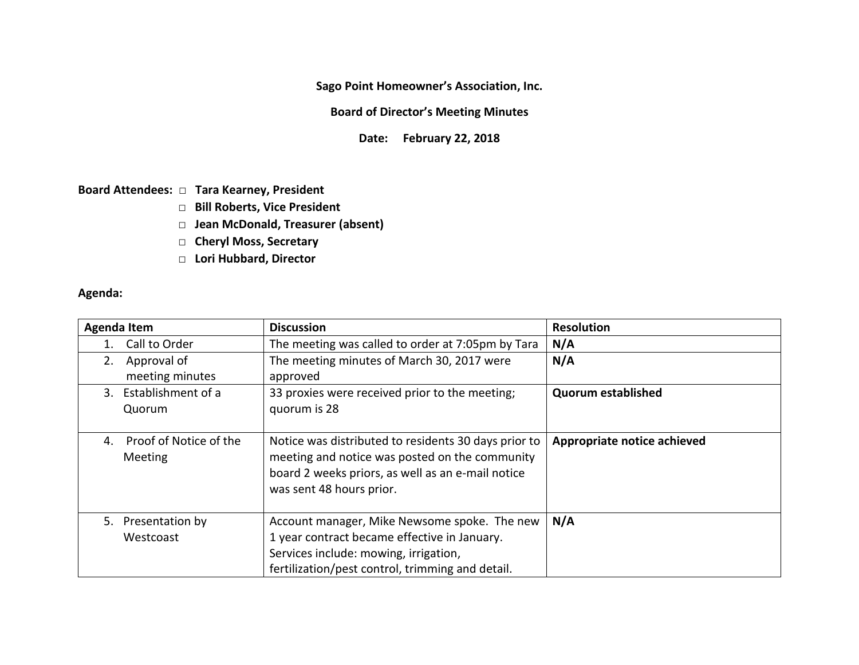**Sago Point Homeowner's Association, Inc.**

**Board of Director's Meeting Minutes**

**Date: February 22, 2018** 

**Board Attendees: □ Tara Kearney, President**

- **□ Bill Roberts, Vice President**
- **□ Jean McDonald, Treasurer (absent)**
- □ Cheryl Moss, Secretary
- **□ Lori Hubbard, Director**

**Agenda:**

| <b>Agenda Item</b>                      | <b>Discussion</b>                                                                                                                                                                         | <b>Resolution</b>           |
|-----------------------------------------|-------------------------------------------------------------------------------------------------------------------------------------------------------------------------------------------|-----------------------------|
| Call to Order                           | The meeting was called to order at 7:05pm by Tara                                                                                                                                         | N/A                         |
| Approval of<br>2.<br>meeting minutes    | The meeting minutes of March 30, 2017 were<br>approved                                                                                                                                    | N/A                         |
| 3. Establishment of a<br>Quorum         | 33 proxies were received prior to the meeting;<br>quorum is 28                                                                                                                            | <b>Quorum established</b>   |
| Proof of Notice of the<br>4.<br>Meeting | Notice was distributed to residents 30 days prior to<br>meeting and notice was posted on the community<br>board 2 weeks priors, as well as an e-mail notice<br>was sent 48 hours prior.   | Appropriate notice achieved |
| 5. Presentation by<br>Westcoast         | Account manager, Mike Newsome spoke. The new<br>1 year contract became effective in January.<br>Services include: mowing, irrigation,<br>fertilization/pest control, trimming and detail. | N/A                         |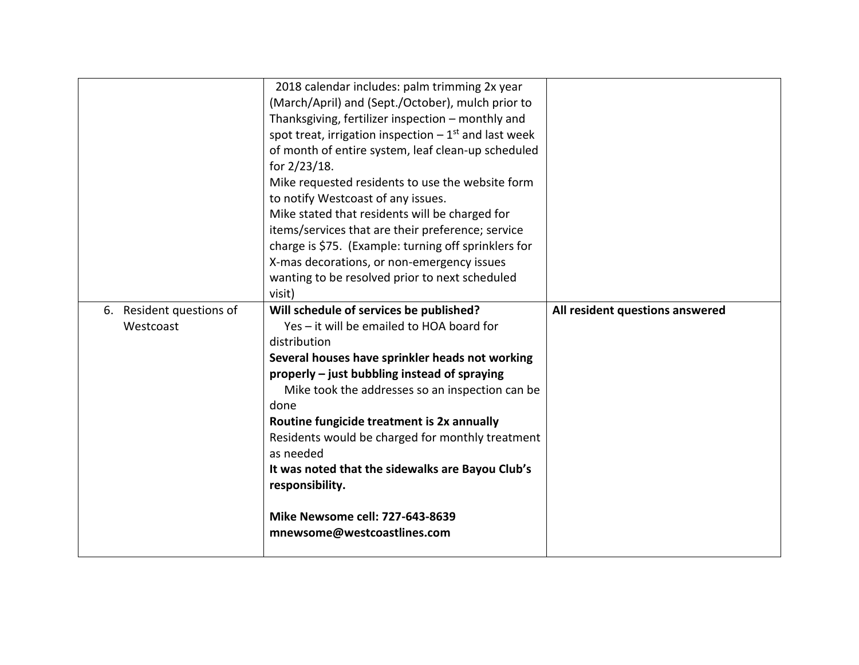|                          | 2018 calendar includes: palm trimming 2x year                      |                                 |
|--------------------------|--------------------------------------------------------------------|---------------------------------|
|                          | (March/April) and (Sept./October), mulch prior to                  |                                 |
|                          | Thanksgiving, fertilizer inspection - monthly and                  |                                 |
|                          | spot treat, irrigation inspection $-1$ <sup>st</sup> and last week |                                 |
|                          | of month of entire system, leaf clean-up scheduled                 |                                 |
|                          | for 2/23/18.                                                       |                                 |
|                          | Mike requested residents to use the website form                   |                                 |
|                          | to notify Westcoast of any issues.                                 |                                 |
|                          | Mike stated that residents will be charged for                     |                                 |
|                          | items/services that are their preference; service                  |                                 |
|                          | charge is \$75. (Example: turning off sprinklers for               |                                 |
|                          | X-mas decorations, or non-emergency issues                         |                                 |
|                          | wanting to be resolved prior to next scheduled                     |                                 |
|                          | visit)                                                             |                                 |
| 6. Resident questions of | Will schedule of services be published?                            | All resident questions answered |
|                          |                                                                    |                                 |
| Westcoast                | Yes - it will be emailed to HOA board for                          |                                 |
|                          | distribution                                                       |                                 |
|                          | Several houses have sprinkler heads not working                    |                                 |
|                          | properly - just bubbling instead of spraying                       |                                 |
|                          | Mike took the addresses so an inspection can be                    |                                 |
|                          | done                                                               |                                 |
|                          | Routine fungicide treatment is 2x annually                         |                                 |
|                          | Residents would be charged for monthly treatment                   |                                 |
|                          | as needed                                                          |                                 |
|                          | It was noted that the sidewalks are Bayou Club's                   |                                 |
|                          | responsibility.                                                    |                                 |
|                          |                                                                    |                                 |
|                          | Mike Newsome cell: 727-643-8639                                    |                                 |
|                          | mnewsome@westcoastlines.com                                        |                                 |